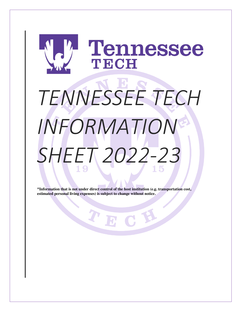# Tennessee TECH *TENNESSEE TECH INFORMATION SHEET 2022-23*

**\*Information that is not under direct control of the host institution (e.g. transportation cost, estimated personal living expenses) is subject to change without notice.**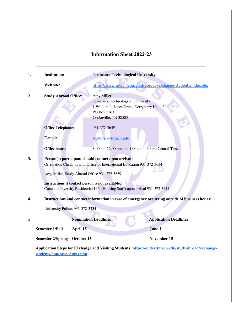# **Information Sheet 2022-23**

| 1. | <b>Institution:</b>                                                                                                                                                                                                                | <b>Tennessee Technological University</b>                                                                                                |  |  |  |  |
|----|------------------------------------------------------------------------------------------------------------------------------------------------------------------------------------------------------------------------------------|------------------------------------------------------------------------------------------------------------------------------------------|--|--|--|--|
|    | Web site:                                                                                                                                                                                                                          | https://www.tntech.edu/studyabroad/exchange-students/index.php                                                                           |  |  |  |  |
| 2. | <b>Study Abroad Office:</b>                                                                                                                                                                                                        | Amy Miller<br>Tennessee Technological University<br>1 William L. Jones Drive, Derryberry Hall 434<br>PO Box 5163<br>Cookeville, TN 38505 |  |  |  |  |
|    | <b>Office Telephone:</b>                                                                                                                                                                                                           | 931-372-3659                                                                                                                             |  |  |  |  |
|    | E-mail:                                                                                                                                                                                                                            | ALMiller@tntech.edu                                                                                                                      |  |  |  |  |
|    | <b>Office hours:</b>                                                                                                                                                                                                               | 8:00 am-12:00 pm and 1:00 pm-4:30 pm Central Time                                                                                        |  |  |  |  |
| 3. | Person(s) participant should contact upon arrival:<br>Orientation Check-in with Office of International Education 931-372-3634<br>Amy Miller, Study Abroad Office 931-372-3659<br>Instructions if contact person is not available: |                                                                                                                                          |  |  |  |  |
|    | Contact University Residential Life (Housing Staff) upon arrival 931-372-3414.                                                                                                                                                     |                                                                                                                                          |  |  |  |  |
| 4. | Instructions and contact information in case of emergency occurring outside of business hours:                                                                                                                                     |                                                                                                                                          |  |  |  |  |
|    | University Police: 931-372-3234                                                                                                                                                                                                    |                                                                                                                                          |  |  |  |  |
| 5. |                                                                                                                                                                                                                                    | <b>Application Deadlines</b><br><b>Nomination Deadlines</b>                                                                              |  |  |  |  |
|    | <b>Semester 1/Fall</b><br>April 15                                                                                                                                                                                                 | June 1                                                                                                                                   |  |  |  |  |
|    | <b>Semester 2/Spring</b><br>October 15                                                                                                                                                                                             | November 15                                                                                                                              |  |  |  |  |

**Application Steps for Exchange and Visiting Students: https://oudev.tntech.edu/studyabroad/exchangestudents/app-procedures.php**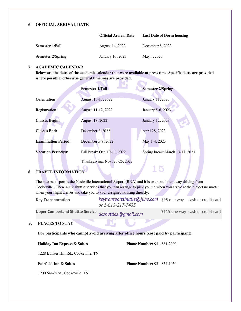#### **6. OFFICIAL ARRIVAL DATE**

|                   | <b>Official Arrival Date</b> | <b>Last Date of Dorm housing</b> |
|-------------------|------------------------------|----------------------------------|
| Semester 1/Fall   | August 14, 2022              | December 8, 2022                 |
| Semester 2/Spring | January 10, 2023             | May 4, 2023                      |

# **7. ACADEMIC CALENDAR**

**Below are the dates of the academic calendar that were available at press time. Specific dates are provided where possible; otherwise general timelines are provided.**

|                            | <b>Semester 1/Fall</b>         | <b>Semester 2/Spring</b>        |
|----------------------------|--------------------------------|---------------------------------|
| Orientation:               | August 16-17, 2022             | January 11, 2023                |
| <b>Registration:</b>       | August 11-12, 2022             | January 5-6, 2023               |
| <b>Classes Begin:</b>      | August 18, 2022                | January 12, 2023                |
| <b>Classes End:</b>        | December 2, 2022               | April 28, 2023                  |
| <b>Examination Period:</b> | December 5-8, 2022             | May 1-4, 2023                   |
| <b>Vacation Period(s):</b> | Fall break: Oct. 10-11, 2022   | Spring break: March 13-17, 2023 |
|                            | Thanksgiving: Nov. 23-25, 2022 |                                 |

# **8. TRAVEL INFORMATION**

The nearest airport is the Nashville International Airport (BNA) and it is over one hour away driving from Cookeville. There are 2 shuttle services that you can arrange to pick you up when you arrive at the airport no matter when your flight arrives and take you to your assigned housing directly:

| <b>Key Transportation</b> | keytransportshuttle@juno.com \$95 one way cash or credit card |  |
|---------------------------|---------------------------------------------------------------|--|
|                           | or 1-615-217-7433                                             |  |

**Upper Cumberland Shuttle Service** *ucshuttles@gmail.com* \$115 one way cash or credit card

# **9. PLACES TO STAY**

**For participants who cannot avoid arriving after office hours (cost paid by participant):**

#### **Holiday Inn Express & Suites**

**Phone Number:** 931-881-2000

15

1228 Bunker Hill Rd., Cookeville, TN

# **Fairfield Inn & Suites**

**Phone Number:** 931-854-1050

1200 Sam's St., Cookeville, TN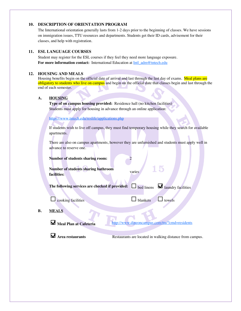## **10. DESCRIPTION OF ORIENTATION PROGRAM**

The International orientation generally lasts from 1-2 days prior to the beginning of classes. We have sessions on immigration issues, TTU resources and departments. Students get their ID cards, advisement for their classes, and help with registration.

## **11. ESL LANGUAGE COURSES**

Student may register for the ESL courses if they feel they need more language exposure. For more information contact: International Education at **Intl\_adm@tntech.edu** 

#### **12. HOUSING AND MEALS**

Housing benefits begin on the official date of arrival and last through the last day of exams. Meal plans are obligatory to students who live on campus and begin on the official date that classes begin and last through the end of each semester.

# **A. HOUSING**

**Type of on campus housing provided:** Residence hall (no kitchen facilities) Students must apply for housing in advance through an online application:

https://www.tntech.edu/reslife/applications.php

If students wish to live off campus, they must find temporary housing while they search for available apartments.

There are also on campus apartments, however they are unfurnished and students must apply well in advance to reserve one.

15

**Number of students sharing room:** 2

**Number of students sharing bathroom facilities:** varies

**The following services are checked if provided:**  $\Box$  bed linens  $\Box$  laundry facilities

 $\Box$  cooking facilities  $\Box$  blankets  $\Box$  towels

#### **B. MEALS**

Meal Plan at Cafeteria http://www.dineoncampus.com/ttu/?cmd=residents

**A** Area restaurants **Restaurants** are located in walking distance from campus.